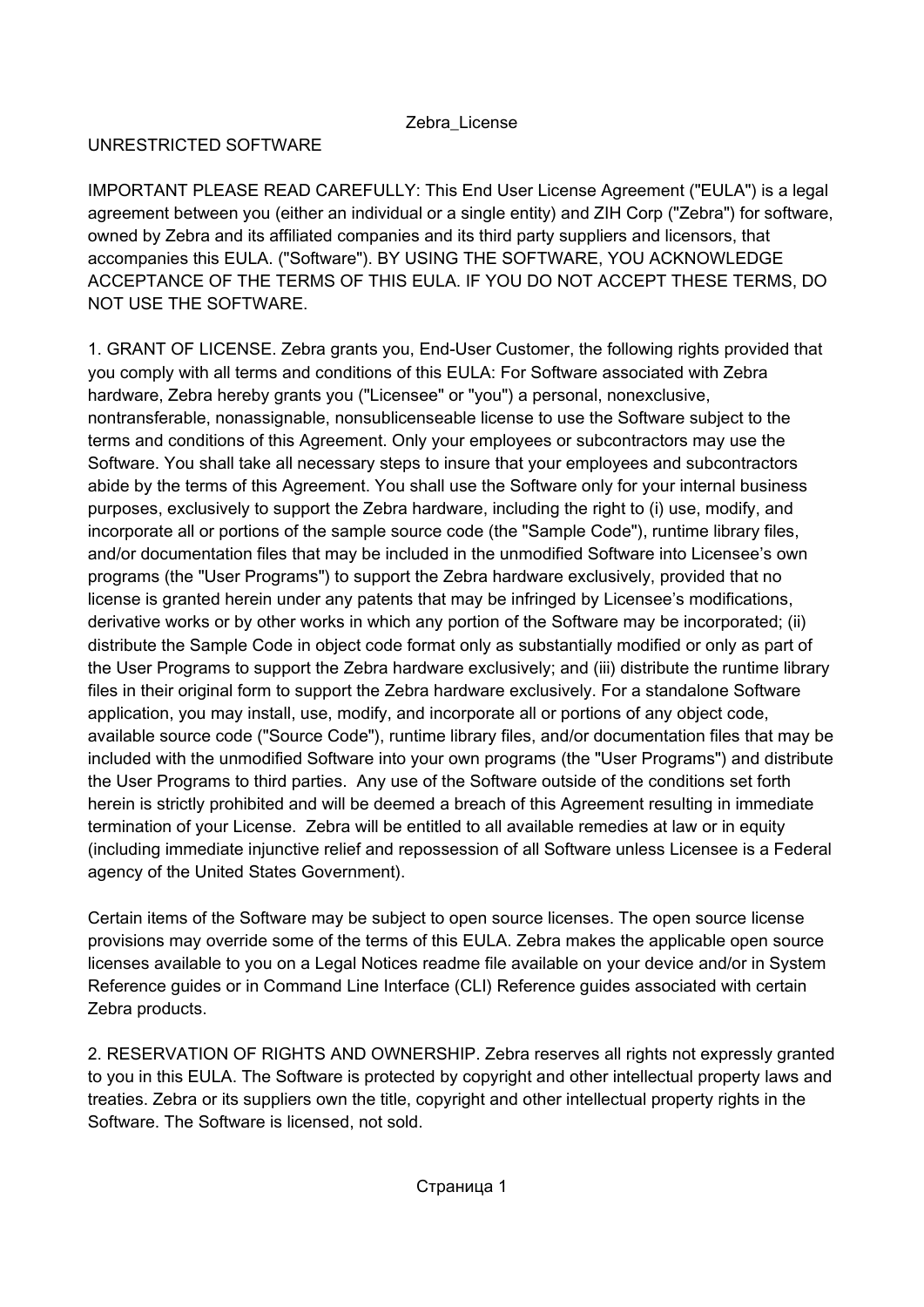# UNRESTRICTED SOFTWARE

IMPORTANT PLEASE READ CAREFULLY: This End User License Agreement ("EULA") is a legal agreement between you (either an individual or a single entity) and ZIH Corp ("Zebra") for software, owned by Zebra and its affiliated companies and its third party suppliers and licensors, that accompanies this EULA. ("Software"). BY USING THE SOFTWARE, YOU ACKNOWLEDGE ACCEPTANCE OF THE TERMS OF THIS EULA. IF YOU DO NOT ACCEPT THESE TERMS, DO NOT USE THE SOFTWARE.

1. GRANT OF LICENSE. Zebra grants you, End-User Customer, the following rights provided that you comply with all terms and conditions of this EULA: For Software associated with Zebra hardware, Zebra hereby grants you ("Licensee" or "you") a personal, nonexclusive, nontransferable, nonassignable, nonsublicenseable license to use the Software subject to the terms and conditions of this Agreement. Only your employees or subcontractors may use the Software. You shall take all necessary steps to insure that your employees and subcontractors abide by the terms of this Agreement. You shall use the Software only for your internal business purposes, exclusively to support the Zebra hardware, including the right to (i) use, modify, and incorporate all or portions of the sample source code (the "Sample Code"), runtime library files, and/or documentation files that may be included in the unmodified Software into Licensee's own programs (the "User Programs") to support the Zebra hardware exclusively, provided that no license is granted herein under any patents that may be infringed by Licensee's modifications, derivative works or by other works in which any portion of the Software may be incorporated; (ii) distribute the Sample Code in object code format only as substantially modified or only as part of the User Programs to support the Zebra hardware exclusively; and (iii) distribute the runtime library files in their original form to support the Zebra hardware exclusively. For a standalone Software application, you may install, use, modify, and incorporate all or portions of any object code, available source code ("Source Code"), runtime library files, and/or documentation files that may be included with the unmodified Software into your own programs (the "User Programs") and distribute the User Programs to third parties. Any use of the Software outside of the conditions set forth herein is strictly prohibited and will be deemed a breach of this Agreement resulting in immediate termination of your License. Zebra will be entitled to all available remedies at law or in equity (including immediate injunctive relief and repossession of all Software unless Licensee is a Federal agency of the United States Government).

Certain items of the Software may be subject to open source licenses. The open source license provisions may override some of the terms of this EULA. Zebra makes the applicable open source licenses available to you on a Legal Notices readme file available on your device and/or in System Reference guides or in Command Line Interface (CLI) Reference guides associated with certain Zebra products.

2. RESERVATION OF RIGHTS AND OWNERSHIP. Zebra reserves all rights not expressly granted to you in this EULA. The Software is protected by copyright and other intellectual property laws and treaties. Zebra or its suppliers own the title, copyright and other intellectual property rights in the Software. The Software is licensed, not sold.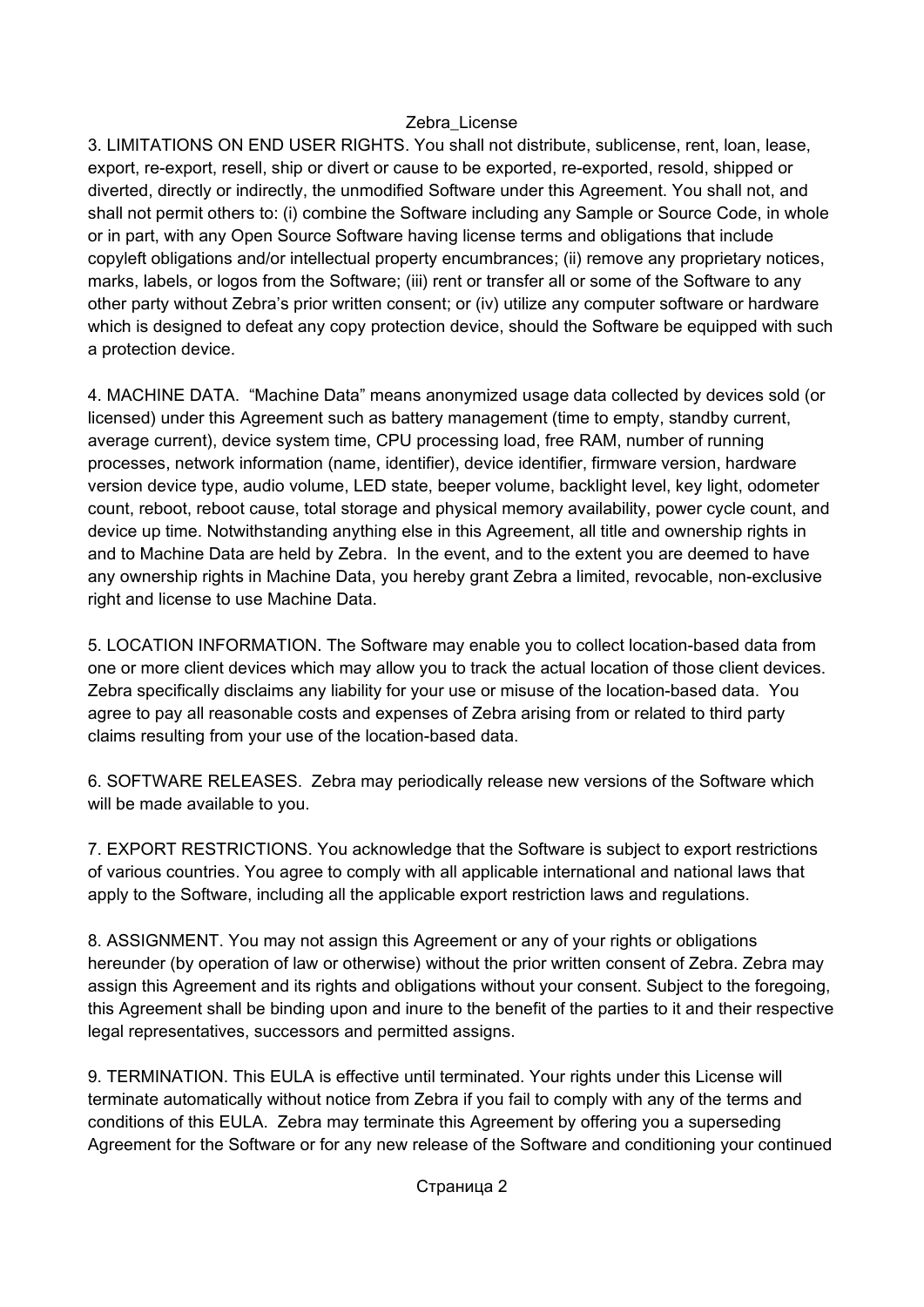3. LIMITATIONS ON END USER RIGHTS. You shall not distribute, sublicense, rent, loan, lease, export, re-export, resell, ship or divert or cause to be exported, re-exported, resold, shipped or diverted, directly or indirectly, the unmodified Software under this Agreement. You shall not, and shall not permit others to: (i) combine the Software including any Sample or Source Code, in whole or in part, with any Open Source Software having license terms and obligations that include copyleft obligations and/or intellectual property encumbrances; (ii) remove any proprietary notices, marks, labels, or logos from the Software; (iii) rent or transfer all or some of the Software to any other party without Zebra's prior written consent; or (iv) utilize any computer software or hardware which is designed to defeat any copy protection device, should the Software be equipped with such a protection device.

4. MACHINE DATA. "Machine Data" means anonymized usage data collected by devices sold (or licensed) under this Agreement such as battery management (time to empty, standby current, average current), device system time, CPU processing load, free RAM, number of running processes, network information (name, identifier), device identifier, firmware version, hardware version device type, audio volume, LED state, beeper volume, backlight level, key light, odometer count, reboot, reboot cause, total storage and physical memory availability, power cycle count, and device up time. Notwithstanding anything else in this Agreement, all title and ownership rights in and to Machine Data are held by Zebra. In the event, and to the extent you are deemed to have any ownership rights in Machine Data, you hereby grant Zebra a limited, revocable, non-exclusive right and license to use Machine Data.

5. LOCATION INFORMATION. The Software may enable you to collect location-based data from one or more client devices which may allow you to track the actual location of those client devices. Zebra specifically disclaims any liability for your use or misuse of the location-based data. You agree to pay all reasonable costs and expenses of Zebra arising from or related to third party claims resulting from your use of the location-based data.

6. SOFTWARE RELEASES. Zebra may periodically release new versions of the Software which will be made available to you.

7. EXPORT RESTRICTIONS. You acknowledge that the Software is subject to export restrictions of various countries. You agree to comply with all applicable international and national laws that apply to the Software, including all the applicable export restriction laws and regulations.

8. ASSIGNMENT. You may not assign this Agreement or any of your rights or obligations hereunder (by operation of law or otherwise) without the prior written consent of Zebra. Zebra may assign this Agreement and its rights and obligations without your consent. Subject to the foregoing, this Agreement shall be binding upon and inure to the benefit of the parties to it and their respective legal representatives, successors and permitted assigns.

9. TERMINATION. This EULA is effective until terminated. Your rights under this License will terminate automatically without notice from Zebra if you fail to comply with any of the terms and conditions of this EULA. Zebra may terminate this Agreement by offering you a superseding Agreement for the Software or for any new release of the Software and conditioning your continued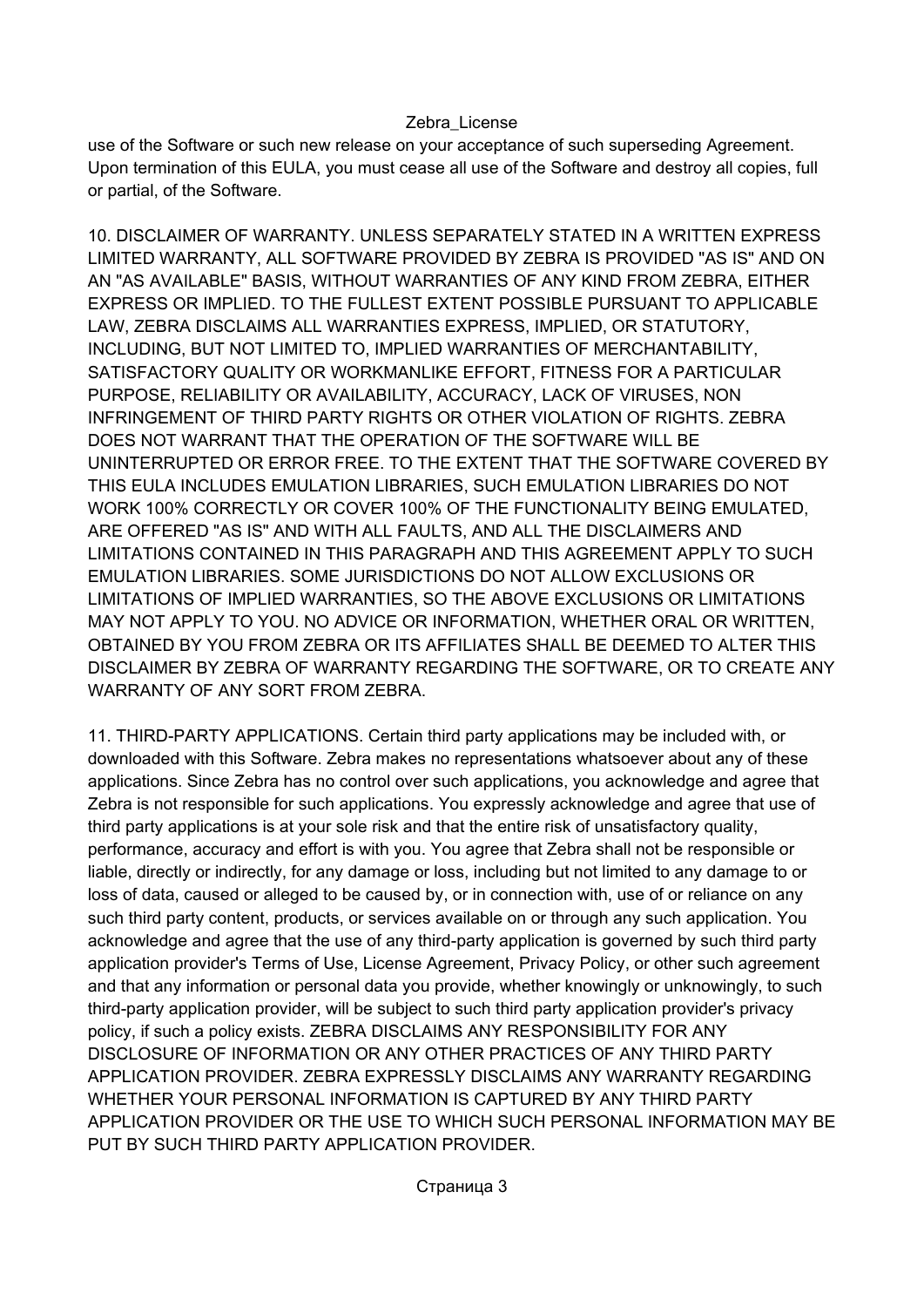use of the Software or such new release on your acceptance of such superseding Agreement. Upon termination of this EULA, you must cease all use of the Software and destroy all copies, full or partial, of the Software.

10. DISCLAIMER OF WARRANTY. UNLESS SEPARATELY STATED IN A WRITTEN EXPRESS LIMITED WARRANTY, ALL SOFTWARE PROVIDED BY ZEBRA IS PROVIDED "AS IS" AND ON AN "AS AVAILABLE" BASIS, WITHOUT WARRANTIES OF ANY KIND FROM ZEBRA, EITHER EXPRESS OR IMPLIED. TO THE FULLEST EXTENT POSSIBLE PURSUANT TO APPLICABLE LAW, ZEBRA DISCLAIMS ALL WARRANTIES EXPRESS, IMPLIED, OR STATUTORY, INCLUDING, BUT NOT LIMITED TO, IMPLIED WARRANTIES OF MERCHANTABILITY, SATISFACTORY QUALITY OR WORKMANLIKE EFFORT, FITNESS FOR A PARTICULAR PURPOSE, RELIABILITY OR AVAILABILITY, ACCURACY, LACK OF VIRUSES, NON INFRINGEMENT OF THIRD PARTY RIGHTS OR OTHER VIOLATION OF RIGHTS. ZEBRA DOES NOT WARRANT THAT THE OPERATION OF THE SOFTWARE WILL BE UNINTERRUPTED OR ERROR FREE. TO THE EXTENT THAT THE SOFTWARE COVERED BY THIS EULA INCLUDES EMULATION LIBRARIES, SUCH EMULATION LIBRARIES DO NOT WORK 100% CORRECTLY OR COVER 100% OF THE FUNCTIONALITY BEING EMULATED, ARE OFFERED "AS IS" AND WITH ALL FAULTS, AND ALL THE DISCLAIMERS AND LIMITATIONS CONTAINED IN THIS PARAGRAPH AND THIS AGREEMENT APPLY TO SUCH EMULATION LIBRARIES. SOME JURISDICTIONS DO NOT ALLOW EXCLUSIONS OR LIMITATIONS OF IMPLIED WARRANTIES, SO THE ABOVE EXCLUSIONS OR LIMITATIONS MAY NOT APPLY TO YOU. NO ADVICE OR INFORMATION, WHETHER ORAL OR WRITTEN, OBTAINED BY YOU FROM ZEBRA OR ITS AFFILIATES SHALL BE DEEMED TO ALTER THIS DISCLAIMER BY ZEBRA OF WARRANTY REGARDING THE SOFTWARE, OR TO CREATE ANY WARRANTY OF ANY SORT FROM ZEBRA

11. THIRD-PARTY APPLICATIONS. Certain third party applications may be included with, or downloaded with this Software. Zebra makes no representations whatsoever about any of these applications. Since Zebra has no control over such applications, you acknowledge and agree that Zebra is not responsible for such applications. You expressly acknowledge and agree that use of third party applications is at your sole risk and that the entire risk of unsatisfactory quality, performance, accuracy and effort is with you. You agree that Zebra shall not be responsible or liable, directly or indirectly, for any damage or loss, including but not limited to any damage to or loss of data, caused or alleged to be caused by, or in connection with, use of or reliance on any such third party content, products, or services available on or through any such application. You acknowledge and agree that the use of any third-party application is governed by such third party application provider's Terms of Use, License Agreement, Privacy Policy, or other such agreement and that any information or personal data you provide, whether knowingly or unknowingly, to such third-party application provider, will be subject to such third party application provider's privacy policy, if such a policy exists. ZEBRA DISCLAIMS ANY RESPONSIBILITY FOR ANY DISCLOSURE OF INFORMATION OR ANY OTHER PRACTICES OF ANY THIRD PARTY APPLICATION PROVIDER. ZEBRA EXPRESSLY DISCLAIMS ANY WARRANTY REGARDING WHETHER YOUR PERSONAL INFORMATION IS CAPTURED BY ANY THIRD PARTY APPLICATION PROVIDER OR THE USE TO WHICH SUCH PERSONAL INFORMATION MAY BE PUT BY SUCH THIRD PARTY APPLICATION PROVIDER.